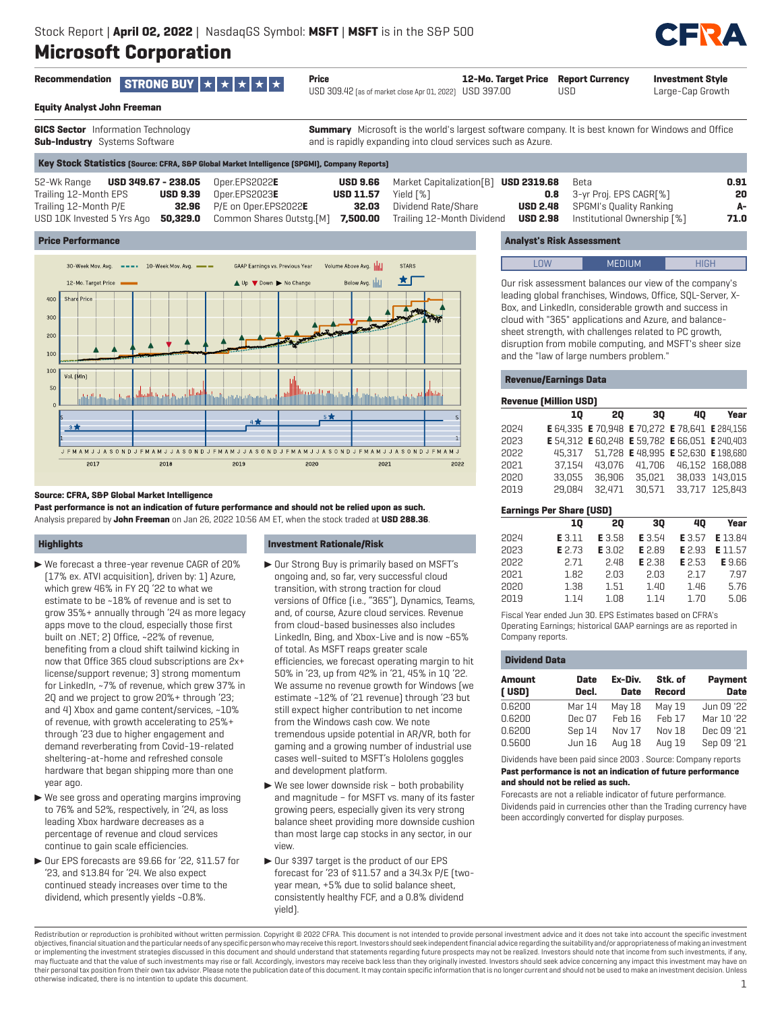# **Microsoft Corporation**

|                                 | Recommendation STRONG BUY $\star$ $\star$ $\star$ $\star$ $\star$ | Price                                                   | 12-Mo. Target Price Report Currency |     | <b>Investment Style</b> |
|---------------------------------|-------------------------------------------------------------------|---------------------------------------------------------|-------------------------------------|-----|-------------------------|
|                                 |                                                                   | USD 309.42 (as of market close Apr 01, 2022) USD 397.00 |                                     | USD | Large-Cap Growth        |
| Earrithe Angluet, John Expenses |                                                                   |                                                         |                                     |     |                         |

# **Equity Analyst John Freeman**

**GICS Sector** Information Technology **Sub-Industry** Systems Software

**Summary** Microsoft is the world's largest software company. It is best known for Windows and Office and is rapidly expanding into cloud services such as Azure.

**Key Stock Statistics (Source: CFRA, S&P Global Market Intelligence (SPGMI), Company Reports)**

| 52-Wk Range <b>USD 349.67 - 238.05</b> Oper.EPS2022E |                                                                                                  |                                          | <b>USD 9.66</b> Market Capitalization[B] <b>USD 2319.68</b> | Beta                                                       | 0.91 |
|------------------------------------------------------|--------------------------------------------------------------------------------------------------|------------------------------------------|-------------------------------------------------------------|------------------------------------------------------------|------|
| Trailing 12-Month EPS                                | $\text{USD} 9.39$ Oper.EPS2023E                                                                  | <b>USD 11.57</b> Yield $\lceil % \rceil$ |                                                             | <b>0.8</b> 3-yr Proj. EPS CAGR[%]                          | 20   |
| Trailing 12-Month P/E                                | <b>32.96</b> P/E on Oper.EPS2022E                                                                |                                          | <b>32.03</b> Dividend Rate/Share                            | <b>USD 2.48</b> SPGMI's Quality Ranking                    | A-   |
|                                                      | USD 10K Invested 5 Yrs Ago 50,329.0 Common Shares Outstq.[M] 7,500.00 Trailing 12-Month Dividend |                                          |                                                             | <b>USD 2.98</b> Institutional Ownership $\lceil \% \rceil$ | 71.0 |

# **Price Performance**



# **Source: CFRA, S&P Global Market Intelligence**

**Past performance is not an indication of future performance and should not be relied upon as such.** Analysis prepared by **John Freeman** on Jan 26, 2022 10:56 AM ET, when the stock traded at **USD 288.36**.

# **Highlights**

- $\blacktriangleright$  We forecast a three-year revenue CAGR of 20% (17% ex. ATVI acquisition), driven by: 1) Azure, which grew 46% in FY 2Q '22 to what we estimate to be ~18% of revenue and is set to grow 35%+ annually through '24 as more legacy apps move to the cloud, especially those first built on .NET; 2) Office, ~22% of revenue, benefiting from a cloud shift tailwind kicking in now that Office 365 cloud subscriptions are 2x+ license/support revenue; 3) strong momentum for LinkedIn, ~7% of revenue, which grew 37% in 2Q and we project to grow 20%+ through '23; and 4) Xbox and game content/services, ~10% of revenue, with growth accelerating to 25%+ through '23 due to higher engagement and demand reverberating from Covid-19-related sheltering-at-home and refreshed console hardware that began shipping more than one year ago.
- $\blacktriangleright$  We see gross and operating margins improving to 76% and 52%, respectively, in '24, as loss leading Xbox hardware decreases as a percentage of revenue and cloud services continue to gain scale efficiencies.
- $\blacktriangleright$  Our EPS forecasts are \$9.66 for '22, \$11.57 for '23, and \$13.84 for '24. We also expect continued steady increases over time to the dividend, which presently yields ~0.8%.

### **Investment Rationale/Risk**

- ▶ Our Strong Buy is primarily based on MSFT's ongoing and, so far, very successful cloud transition, with strong traction for cloud versions of Office (i.e., "365"), Dynamics, Teams, and, of course, Azure cloud services. Revenue from cloud-based businesses also includes LinkedIn, Bing, and Xbox-Live and is now ~65% of total. As MSFT reaps greater scale efficiencies, we forecast operating margin to hit 50% in '23, up from 42% in '21, 45% in 1Q '22. We assume no revenue growth for Windows (we estimate ~12% of '21 revenue) through '23 but still expect higher contribution to net income from the Windows cash cow. We note tremendous upside potential in AR/VR, both for gaming and a growing number of industrial use cases well-suited to MSFT's Hololens goggles and development platform.
- $\blacktriangleright$  We see lower downside risk both probability and magnitude – for MSFT vs. many of its faster growing peers, especially given its very strong balance sheet providing more downside cushion than most large cap stocks in any sector, in our view.
- ▶ Our \$397 target is the product of our EPS forecast for '23 of \$11.57 and a 34.3x P/E (twoyear mean, +5% due to solid balance sheet, consistently healthy FCF, and a 0.8% dividend yield).

# **Analyst's Risk Assessment**

| $\sqrt{1}$<br>. |                                     |
|-----------------|-------------------------------------|
|                 | the contract of the contract of the |

Our risk assessment balances our view of the company's leading global franchises, Windows, Office, SQL-Server, X-Box, and LinkedIn, considerable growth and success in cloud with "365" applications and Azure, and balancesheet strength, with challenges related to PC growth, disruption from mobile computing, and MSFT's sheer size and the "law of large numbers problem."

# **Revenue/Earnings Data**

|      | <b>Revenue (Million USD)</b> |        |                                               |    |                |
|------|------------------------------|--------|-----------------------------------------------|----|----------------|
|      | 10                           | 20     | 30                                            | 40 | Year           |
| 2024 |                              |        | E 64.335 E 70.948 E 70.272 E 78.641 E 284.156 |    |                |
| 2023 |                              |        | E 54,312 E 60,248 E 59,782 E 66,051 E 240,403 |    |                |
| 2022 | 45.317                       |        | 51.728 E48.995 E52.630 E198.680               |    |                |
| 2021 | 37.154                       | 43.076 | 41.706                                        |    | 46.152 168.088 |
| 2020 | 33.055                       | 36,906 | 35.021                                        |    | 38.033 143.015 |
| 2019 | 29.084                       | 32.471 | 30.571                                        |    | 33.717 125.843 |

# **Earnings Per Share (USD)**

|      | 10     | 20     | 30     | 40     | Year                         |
|------|--------|--------|--------|--------|------------------------------|
| 2024 | E 3.11 | E 3.58 | E 3.54 |        | <b>E</b> 3.57 <b>E</b> 13.84 |
| 2023 | E 2.73 | E 3.02 | E 2.89 |        | <b>E</b> 2.93 <b>E</b> 11.57 |
| 2022 | 2.71   | 2.48   | E 2.38 | E 2.53 | <b>E</b> 9.66                |
| 2021 | 1.82   | 2.03   | 2.03   | 2.17   | 7.97                         |
| 2020 | 1.38   | 1.51   | 1.40   | 1.46   | 5.76                         |
| 2019 | 1.14   | 1.08   | 1.14   | 1.70   | 5.06                         |

Fiscal Year ended Jun 30. EPS Estimates based on CFRA's Operating Earnings; historical GAAP earnings are as reported in Company reports.

| <b>Dividend Data</b> |               |                 |                          |                               |  |  |  |
|----------------------|---------------|-----------------|--------------------------|-------------------------------|--|--|--|
| Amount<br>$[$ USD]   | Date<br>Decl. | Ex-Div.<br>Date | Stk. of<br><b>Record</b> | <b>Payment</b><br><b>Date</b> |  |  |  |
| 0.6200               | Mar 14        | May 18          | May 19                   | Jun 09 '22                    |  |  |  |
| 0.6200               | Dec 07        | Feb 16          | Feb 17                   | Mar 10 '22                    |  |  |  |
| 0.6200               | Sep 14        | Nny 17          | Nov 18                   | Dec 09 '21                    |  |  |  |
| 0.5600               | <b>Jun 16</b> | Aug 18          | Aug 19                   | Sep 09 '21                    |  |  |  |

Dividends have been paid since 2003 . Source: Company reports **Past performance is not an indication of future performance and should not be relied as such.**

Forecasts are not a reliable indicator of future performance. Dividends paid in currencies other than the Trading currency have been accordingly converted for display purposes.

Redistribution or reproduction is prohibited without written permission. Copyright © 2022 CFRA. This document is not intended to provide personal investment advice and it does not take into account the specific investment objectives, financial situation and the particular needs of any specific person who may receive this report. Investors should seek independent financial advice regarding the suitability and/or appropriateness of making an or implementing the investment strategies discussed in this document and should understand that statements regarding future prospects may not be realized. Investors should note that income from such investments, if any, may fluctuate and that the value of such investments may rise or fall. Accordingly, investors may receive back less than they originally invested. Investors should seek advice concerning any impact this investment may have their personal tax position from their own tax advisor. Please note the publication date of this document. It may contain specific information that is no longer current and should not be used to make an investment decision otherwise indicated, there is no intention to update this document. 1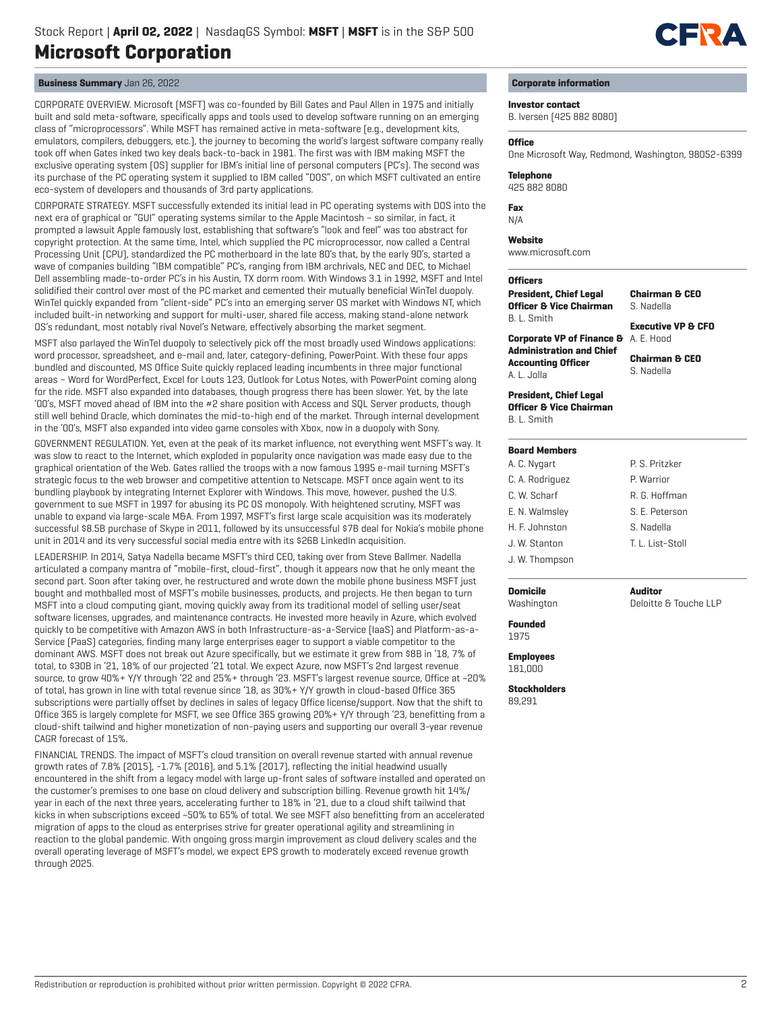

# **Business Summary** Jan 26, 2022

CORPORATE OVERVIEW. Microsoft (MSFT) was co-founded by Bill Gates and Paul Allen in 1975 and initially built and sold meta-software, specifically apps and tools used to develop software running on an emerging class of "microprocessors". While MSFT has remained active in meta-software (e.g., development kits, emulators, compilers, debuggers, etc.), the journey to becoming the world's largest software company really took off when Gates inked two key deals back-to-back in 1981. The first was with IBM making MSFT the exclusive operating system (OS) supplier for IBM's initial line of personal computers (PC's). The second was its purchase of the PC operating system it supplied to IBM called "DOS", on which MSFT cultivated an entire eco-system of developers and thousands of 3rd party applications.

CORPORATE STRATEGY. MSFT successfully extended its initial lead in PC operating systems with DOS into the next era of graphical or "GUI" operating systems similar to the Apple Macintosh – so similar, in fact, it prompted a lawsuit Apple famously lost, establishing that software's "look and feel" was too abstract for copyright protection. At the same time, Intel, which supplied the PC microprocessor, now called a Central Processing Unit (CPU), standardized the PC motherboard in the late 80's that, by the early 90's, started a wave of companies building "IBM compatible" PC's, ranging from IBM archrivals, NEC and DEC, to Michael Dell assembling made-to-order PC's in his Austin, TX dorm room. With Windows 3.1 in 1992, MSFT and Intel solidified their control over most of the PC market and cemented their mutually beneficial WinTel duopoly. WinTel quickly expanded from "client-side" PC's into an emerging server OS market with Windows NT, which included built-in networking and support for multi-user, shared file access, making stand-alone network OS's redundant, most notably rival Novel's Netware, effectively absorbing the market segment.

MSFT also parlayed the WinTel duopoly to selectively pick off the most broadly used Windows applications: word processor, spreadsheet, and e-mail and, later, category-defining, PowerPoint. With these four apps bundled and discounted, MS Office Suite quickly replaced leading incumbents in three major functional areas – Word for WordPerfect, Excel for Louts 123, Outlook for Lotus Notes, with PowerPoint coming along for the ride. MSFT also expanded into databases, though progress there has been slower. Yet, by the late '00's, MSFT moved ahead of IBM into the #2 share position with Access and SQL Server products, though still well behind Oracle, which dominates the mid-to-high end of the market. Through internal development in the '00's, MSFT also expanded into video game consoles with Xbox, now in a duopoly with Sony.

GOVERNMENT REGULATION. Yet, even at the peak of its market influence, not everything went MSFT's way. It was slow to react to the Internet, which exploded in popularity once navigation was made easy due to the graphical orientation of the Web. Gates rallied the troops with a now famous 1995 e-mail turning MSFT's strategic focus to the web browser and competitive attention to Netscape. MSFT once again went to its bundling playbook by integrating Internet Explorer with Windows. This move, however, pushed the U.S. government to sue MSFT in 1997 for abusing its PC OS monopoly. With heightened scrutiny, MSFT was unable to expand via large-scale M&A. From 1997, MSFT's first large scale acquisition was its moderately successful \$8.5B purchase of Skype in 2011, followed by its unsuccessful \$7B deal for Nokia's mobile phone unit in 2014 and its very successful social media entre with its \$26B LinkedIn acquisition.

LEADERSHIP. In 2014, Satya Nadella became MSFT's third CEO, taking over from Steve Ballmer. Nadella articulated a company mantra of "mobile-first, cloud-first", though it appears now that he only meant the second part. Soon after taking over, he restructured and wrote down the mobile phone business MSFT just bought and mothballed most of MSFT's mobile businesses, products, and projects. He then began to turn MSFT into a cloud computing giant, moving quickly away from its traditional model of selling user/seat software licenses, upgrades, and maintenance contracts. He invested more heavily in Azure, which evolved quickly to be competitive with Amazon AWS in both Infrastructure-as-a-Service (IaaS) and Platform-as-a-Service (PaaS) categories, finding many large enterprises eager to support a viable competitor to the dominant AWS. MSFT does not break out Azure specifically, but we estimate it grew from \$8B in '18, 7% of total, to \$30B in '21, 18% of our projected '21 total. We expect Azure, now MSFT's 2nd largest revenue source, to grow 40%+ Y/Y through '22 and 25%+ through '23. MSFT's largest revenue source, Office at ~20% of total, has grown in line with total revenue since '18, as 30%+ Y/Y growth in cloud-based Office 365 subscriptions were partially offset by declines in sales of legacy Office license/support. Now that the shift to Office 365 is largely complete for MSFT, we see Office 365 growing 20%+ Y/Y through '23, benefitting from a cloud-shift tailwind and higher monetization of non-paying users and supporting our overall 3-year revenue CAGR forecast of 15%.

FINANCIAL TRENDS. The impact of MSFT's cloud transition on overall revenue started with annual revenue growth rates of 7.8% (2015), -1.7% (2016), and 5.1% (2017), reflecting the initial headwind usually encountered in the shift from a legacy model with large up-front sales of software installed and operated on the customer's premises to one base on cloud delivery and subscription billing. Revenue growth hit 14%/ year in each of the next three years, accelerating further to 18% in '21, due to a cloud shift tailwind that kicks in when subscriptions exceed ~50% to 65% of total. We see MSFT also benefitting from an accelerated migration of apps to the cloud as enterprises strive for greater operational agility and streamlining in reaction to the global pandemic. With ongoing gross margin improvement as cloud delivery scales and the overall operating leverage of MSFT's model, we expect EPS growth to moderately exceed revenue growth through 2025.

# **Corporate information**

# **Investor contact**

B. Iversen (425 882 8080)

### **Office**

One Microsoft Way, Redmond, Washington, 98052-6399

#### **Telephone**

425 882 8080

**Fax**

# N/A

**Website**

www.microsoft.com

# **Officers**

**President, Chief Legal Officer & Vice Chairman** B. L. Smith **Corporate VP of Finance &** 

**Chairman & CEO** S. Nadella

**Executive VP & CFO** A. E. Hood

### **Administration and Chief Accounting Officer** A. L. Jolla

**Chairman & CEO**

S. Nadella

**Auditor**

Deloitte & Touche LLP

### **President, Chief Legal Officer & Vice Chairman** B. L. Smith

| P. S. Pritzker   |
|------------------|
| P. Warrior       |
| R. G. Hoffman    |
| S. E. Peterson   |
| S. Nadella       |
| T. L. List-Stoll |
|                  |
|                  |

**Domicile** Washington

**Founded** 1975

**Employees** 181,000

**Stockholders** 89,291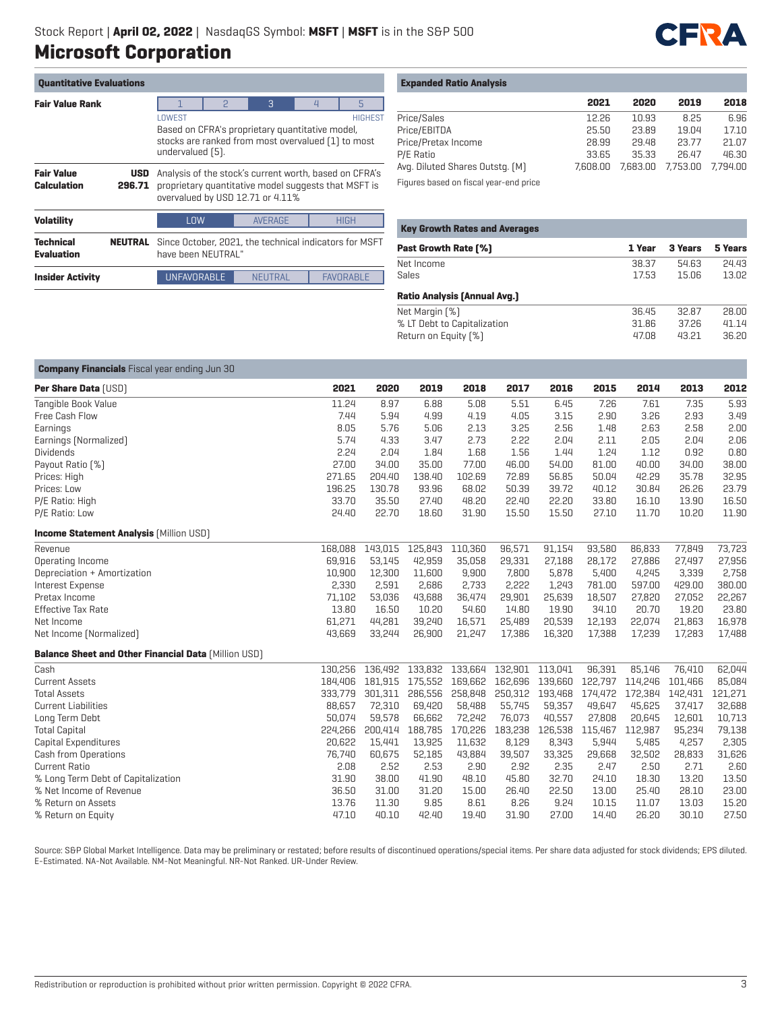

| <b>Quantitative Evaluations</b>         |                      |                                                                                                                                                       |               |                |                |                  |  |  |  |
|-----------------------------------------|----------------------|-------------------------------------------------------------------------------------------------------------------------------------------------------|---------------|----------------|----------------|------------------|--|--|--|
| <b>Fair Value Rank</b>                  |                      |                                                                                                                                                       | $\mathcal{P}$ | 3              | $\overline{4}$ | 5                |  |  |  |
|                                         |                      | LOWEST<br><b>HIGHEST</b><br>Based on CFRA's proprietary quantitative model,<br>stocks are ranked from most overvalued [1] to most<br>undervalued [5]. |               |                |                |                  |  |  |  |
| <b>Fair Value</b><br><b>Calculation</b> | <b>USD</b><br>296.71 | Analysis of the stock's current worth, based on CFRA's<br>proprietary quantitative model suggests that MSFT is<br>overvalued by USD 12.71 or 4.11%    |               |                |                |                  |  |  |  |
| <b>Volatility</b>                       |                      | LOW                                                                                                                                                   |               | <b>AVERAGE</b> |                | <b>HIGH</b>      |  |  |  |
| <b>Technical</b><br><b>Evaluation</b>   | NEUTRAL              | Since October, 2021, the technical indicators for MSFT<br>have been NEUTRAL"                                                                          |               |                |                |                  |  |  |  |
| <b>Insider Activity</b>                 |                      | <b>UNFAVORABLE</b>                                                                                                                                    |               | NEUTRAL        |                | <b>FAVORABLE</b> |  |  |  |

| <b>Expanded Ratio Analysis</b> |  |  |  |
|--------------------------------|--|--|--|
|--------------------------------|--|--|--|

|                                 | 2021     | 2020     | 2019     | 2018     |
|---------------------------------|----------|----------|----------|----------|
| Price/Sales                     | 12.26    | 10.93    | 8.25     | 6.96     |
| Price/EBITDA                    | 25.50    | 23.89    | 19.04    | 17.10    |
| Price/Pretax Income             | 28.99    | 29.48    | 23.77    | 21.07    |
| P/E Ratio                       | 33.65    | 35.33    | 26.47    | 46.30    |
| Avg. Diluted Shares Outstg. (M) | 7,608,00 | 7.683.00 | 7.753.00 | 7.794.00 |
|                                 |          |          |          |          |

Figures based on fiscal year-end price

| <b>Key Growth Rates and Averages</b> |        |         |         |  |  |  |  |  |
|--------------------------------------|--------|---------|---------|--|--|--|--|--|
| <b>Past Growth Rate [%]</b>          | 1 Year | 3 Years | 5 Years |  |  |  |  |  |
| Net Income                           | 38.37  | 54.63   | 24.43   |  |  |  |  |  |
| Sales                                | 17.53  | 15.06   | 13.02   |  |  |  |  |  |
| <b>Ratio Analysis (Annual Avg.)</b>  |        |         |         |  |  |  |  |  |
| Net Margin [%]                       | 36.45  | 32.87   | 28.00   |  |  |  |  |  |
| % LT Debt to Capitalization          | 31.86  | 37.26   | 41.14   |  |  |  |  |  |
| Return on Equity [%]                 | 47.08  | 43.21   | 36.20   |  |  |  |  |  |

| <b>Company Financials</b> Fiscal year ending Jun 30         |         |         |                                 |         |         |         |         |         |         |         |
|-------------------------------------------------------------|---------|---------|---------------------------------|---------|---------|---------|---------|---------|---------|---------|
| <b>Per Share Data [USD]</b>                                 | 2021    | 2020    | 2019                            | 2018    | 2017    | 2016    | 2015    | 2014    | 2013    | 2012    |
| <b>Tangible Book Value</b>                                  | 11.24   | 8.97    | 6.88                            | 5.08    | 5.51    | 6.45    | 7.26    | 7.61    | 7.35    | 5.93    |
| Free Cash Flow                                              | 7.44    | 5.94    | 4.99                            | 4.19    | 4.05    | 3.15    | 2.90    | 3.26    | 2.93    | 3.49    |
| Earnings                                                    | 8.05    | 5.76    | 5.06                            | 2.13    | 3.25    | 2.56    | 1.48    | 2.63    | 2.58    | 2.00    |
| Earnings (Normalized)                                       | 5.74    | 4.33    | 3.47                            | 2.73    | 2.22    | 2.04    | 2.11    | 2.05    | 2.04    | 2.06    |
| <b>Dividends</b>                                            | 2.24    | 2.04    | 1.84                            | 1.68    | 1.56    | 1.44    | 1.24    | 1.12    | 0.92    | 0.80    |
| Payout Ratio [%]                                            | 27.00   | 34.00   | 35.00                           | 77.00   | 46.00   | 54.00   | 81.00   | 40.00   | 34.00   | 38.00   |
| Prices: High                                                | 271.65  | 204.40  | 138.40                          | 102.69  | 72.89   | 56.85   | 50.04   | 42.29   | 35.78   | 32.95   |
| Prices: Low                                                 | 196.25  | 130.78  | 93.96                           | 68.02   | 50.39   | 39.72   | 40.12   | 30.84   | 26.26   | 23.79   |
| P/E Ratio: High                                             | 33.70   | 35.50   | 27.40                           | 48.20   | 22.40   | 22.20   | 33.80   | 16.10   | 13.90   | 16.50   |
| P/E Ratio: Low                                              | 24.40   | 22.70   | 18.60                           | 31.90   | 15.50   | 15.50   | 27.10   | 11.70   | 10.20   | 11.90   |
| <b>Income Statement Analysis [Million USD]</b>              |         |         |                                 |         |         |         |         |         |         |         |
| Revenue                                                     | 168.088 | 143,015 | 125,843                         | 110,360 | 96,571  | 91,154  | 93,580  | 86.833  | 77,849  | 73,723  |
| Operating Income                                            | 69,916  | 53,145  | 42,959                          | 35,058  | 29,331  | 27,188  | 28,172  | 27,886  | 27,497  | 27,956  |
| Depreciation + Amortization                                 | 10,900  | 12,300  | 11,600                          | 9,900   | 7,800   | 5,878   | 5,400   | 4,245   | 3,339   | 2,758   |
| Interest Expense                                            | 2,330   | 2,591   | 2,686                           | 2,733   | 2,222   | 1,243   | 781.00  | 597.00  | 429.00  | 380.00  |
| Pretax Income                                               | 71,102  | 53,036  | 43,688                          | 36,474  | 29,901  | 25,639  | 18,507  | 27,820  | 27,052  | 22,267  |
| <b>Effective Tax Rate</b>                                   | 13.80   | 16.50   | 10.20                           | 54.60   | 14.80   | 19.90   | 34.10   | 20.70   | 19.20   | 23.80   |
| Net Income                                                  | 61,271  | 44,281  | 39,240                          | 16,571  | 25,489  | 20,539  | 12,193  | 22,074  | 21,863  | 16,978  |
| Net Income (Normalized)                                     | 43,669  | 33,244  | 26,900                          | 21,247  | 17,386  | 16,320  | 17,388  | 17,239  | 17,283  | 17,488  |
| <b>Balance Sheet and Other Financial Data [Million USD]</b> |         |         |                                 |         |         |         |         |         |         |         |
| Cash                                                        | 130,256 | 136,492 | 133,832                         | 133,664 | 132,901 | 113,041 | 96,391  | 85,146  | 76,410  | 62,044  |
| <b>Current Assets</b>                                       | 184,406 |         | 181,915 175,552 169,662 162,696 |         |         | 139,660 | 122,797 | 114,246 | 101.466 | 85,084  |
| <b>Total Assets</b>                                         | 333,779 | 301,311 | 286,556                         | 258,848 | 250,312 | 193,468 | 174,472 | 172,384 | 142,431 | 121,271 |
| <b>Current Liabilities</b>                                  | 88.657  | 72,310  | 69,420                          | 58,488  | 55,745  | 59,357  | 49,647  | 45,625  | 37,417  | 32,688  |
| Long Term Debt                                              | 50.074  | 59,578  | 66,662                          | 72,242  | 76,073  | 40,557  | 27,808  | 20,645  | 12,601  | 10,713  |
| <b>Total Capital</b>                                        | 224,266 | 200,414 | 188,785                         | 170,226 | 183,238 | 126,538 | 115,467 | 112,987 | 95,234  | 79,138  |
| <b>Capital Expenditures</b>                                 | 20,622  | 15,441  | 13,925                          | 11,632  | 8,129   | 8,343   | 5,944   | 5,485   | 4,257   | 2,305   |
| <b>Cash from Operations</b>                                 | 76,740  | 60,675  | 52,185                          | 43,884  | 39,507  | 33,325  | 29,668  | 32,502  | 28,833  | 31,626  |
| <b>Current Ratio</b>                                        | 2.08    | 2.52    | 2.53                            | 2.90    | 2.92    | 2.35    | 2.47    | 2.50    | 2.71    | 2.60    |
| % Long Term Debt of Capitalization                          | 31.90   | 38.00   | 41.90                           | 48.10   | 45.80   | 32.70   | 24.10   | 18.30   | 13.20   | 13.50   |
| % Net Income of Revenue                                     | 36.50   | 31.00   | 31.20                           | 15.00   | 26.40   | 22.50   | 13.00   | 25.40   | 28.10   | 23.00   |
| % Return on Assets                                          | 13.76   | 11.30   | 9.85                            | 8.61    | 8.26    | 9.24    | 10.15   | 11.07   | 13.03   | 15.20   |
| % Return on Equity                                          | 47.10   | 40.10   | 42.40                           | 19.40   | 31.90   | 27.00   | 14.40   | 26.20   | 30.10   | 27.50   |

Source: S&P Global Market Intelligence. Data may be preliminary or restated; before results of discontinued operations/special items. Per share data adjusted for stock dividends; EPS diluted. E-Estimated. NA-Not Available. NM-Not Meaningful. NR-Not Ranked. UR-Under Review.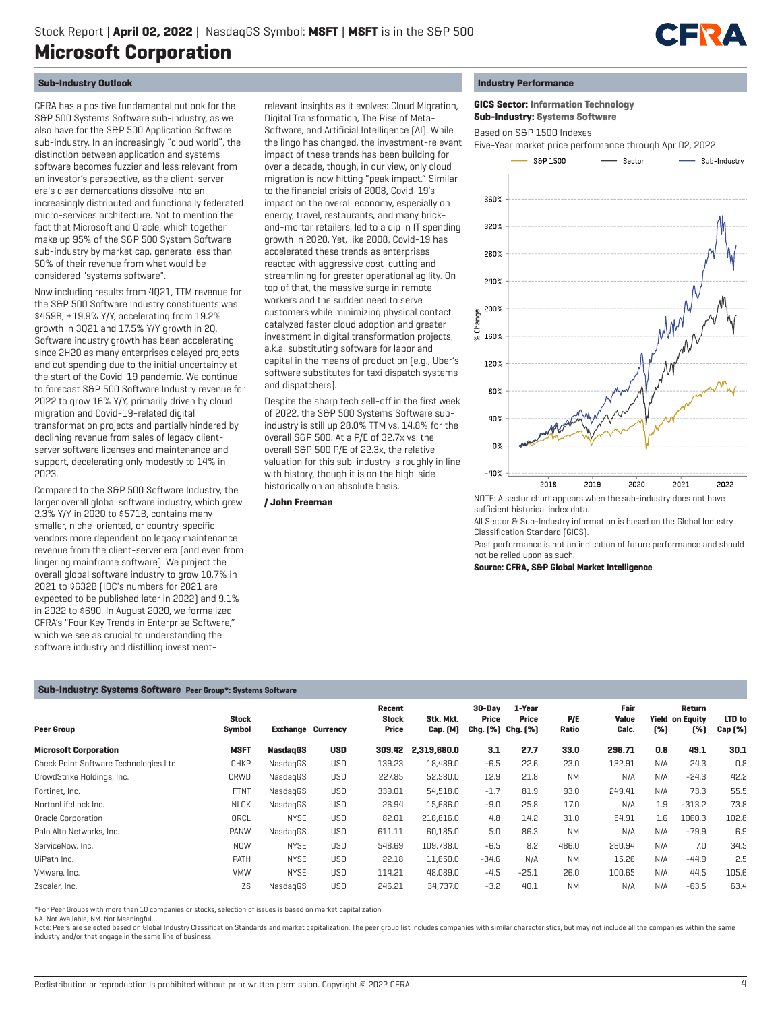

# **Sub-Industry Outlook**

CFRA has a positive fundamental outlook for the S&P 500 Systems Software sub-industry, as we also have for the S&P 500 Application Software sub-industry. In an increasingly "cloud world", the distinction between application and systems software becomes fuzzier and less relevant from an investor's perspective, as the client-server era's clear demarcations dissolve into an increasingly distributed and functionally federated micro-services architecture. Not to mention the fact that Microsoft and Oracle, which together make up 95% of the S&P 500 System Software sub-industry by market cap, generate less than 50% of their revenue from what would be considered "systems software".

Now including results from 4Q21, TTM revenue for the S&P 500 Software Industry constituents was \$459B, +19.9% Y/Y, accelerating from 19.2% growth in 3Q21 and 17.5% Y/Y growth in 2Q. Software industry growth has been accelerating since 2H20 as many enterprises delayed projects and cut spending due to the initial uncertainty at the start of the Covid-19 pandemic. We continue to forecast S&P 500 Software Industry revenue for 2022 to grow 16% Y/Y, primarily driven by cloud migration and Covid-19-related digital transformation projects and partially hindered by declining revenue from sales of legacy clientserver software licenses and maintenance and support, decelerating only modestly to 14% in 2023.

Compared to the S&P 500 Software Industry, the larger overall global software industry, which grew 2.3% Y/Y in 2020 to \$571B, contains many smaller, niche-oriented, or country-specific vendors more dependent on legacy maintenance revenue from the client-server era (and even from lingering mainframe software). We project the overall global software industry to grow 10.7% in 2021 to \$632B (IDC's numbers for 2021 are expected to be published later in 2022) and 9.1% in 2022 to \$690. In August 2020, we formalized CFRA's "Four Key Trends in Enterprise Software," which we see as crucial to understanding the software industry and distilling investment-

relevant insights as it evolves: Cloud Migration, Digital Transformation, The Rise of Meta-Software, and Artificial Intelligence (AI). While the lingo has changed, the investment-relevant impact of these trends has been building for over a decade, though, in our view, only cloud migration is now hitting "peak impact." Similar to the financial crisis of 2008, Covid-19's impact on the overall economy, especially on energy, travel, restaurants, and many brickand-mortar retailers, led to a dip in IT spending growth in 2020. Yet, like 2008, Covid-19 has accelerated these trends as enterprises reacted with aggressive cost-cutting and streamlining for greater operational agility. On top of that, the massive surge in remote workers and the sudden need to serve customers while minimizing physical contact catalyzed faster cloud adoption and greater investment in digital transformation projects, a.k.a. substituting software for labor and capital in the means of production (e.g., Uber's software substitutes for taxi dispatch systems and dispatchers).

Despite the sharp tech sell-off in the first week of 2022, the S&P 500 Systems Software subindustry is still up 28.0% TTM vs. 14.8% for the overall S&P 500. At a P/E of 32.7x vs. the overall S&P 500 P/E of 22.3x, the relative valuation for this sub-industry is roughly in line with history, though it is on the high-side historically on an absolute basis.

# **/ John Freeman**

### **Industry Performance**

### **GICS Sector: Information Technology Sub-Industry: Systems Software**

Based on S&P 1500 Indexes

Five-Year market price performance through Apr 02, 2022



NOTE: A sector chart appears when the sub-industry does not have sufficient historical index data.

All Sector & Sub-Industry information is based on the Global Industry Classification Standard (GICS).

Past performance is not an indication of future performance and should not be relied upon as such.

**Source: CFRA, S&P Global Market Intelligence**

# **Sub-Industry: Systems Software Peer Group\*: Systems Software**

| <b>Peer Group</b>                      | <b>Stock</b><br>Symbol |                 | <b>Exchange Currency</b> | Recent<br><b>Stock</b><br>Price | Stk. Mkt.<br><b>Cap.</b> [M] | 30-Dav<br>Price<br>Chg. [%] Chg. [%] | 1-Year<br>Price | P/E<br>Ratio | Fair<br>Value<br>Calc. | [%] | Return<br><b>Yield on Equity</b><br>[%] | LTD to<br>Cap [%] |
|----------------------------------------|------------------------|-----------------|--------------------------|---------------------------------|------------------------------|--------------------------------------|-----------------|--------------|------------------------|-----|-----------------------------------------|-------------------|
| <b>Microsoft Corporation</b>           | <b>MSFT</b>            | <b>NasdagGS</b> | <b>USD</b>               | 309.42                          | 2,319,680.0                  | 3.1                                  | 27.7            | 33.0         | 296.71                 | 0.8 | 49.1                                    | 30.1              |
| Check Point Software Technologies Ltd. | <b>CHKP</b>            | NasdagGS        | <b>USD</b>               | 139.23                          | 18,489.0                     | $-6.5$                               | 22.6            | 23.0         | 132.91                 | N/A | 24.3                                    | 0.8               |
| CrowdStrike Holdings, Inc.             | CRWD                   | NasdagGS        | <b>USD</b>               | 227.85                          | 52,580.0                     | 12.9                                 | 21.8            | <b>NM</b>    | N/A                    | N/A | $-24.3$                                 | 42.2              |
| Fortinet. Inc.                         | <b>FTNT</b>            | NasdagGS        | <b>USD</b>               | 339.01                          | 54,518.0                     | $-1.7$                               | 81.9            | 93.0         | 249.41                 | N/A | 73.3                                    | 55.5              |
| NortonLifeLock Inc.                    | NLOK                   | NasdagGS        | <b>USD</b>               | 26.94                           | 15,686.0                     | $-9.0$                               | 25.8            | 17.0         | N/A                    | 1.9 | $-313.2$                                | 73.8              |
| Oracle Corporation                     | ORCL                   | <b>NYSE</b>     | <b>USD</b>               | 82.01                           | 218,816.0                    | 4.8                                  | 14.2            | 31.0         | 54.91                  | 1.6 | 1060.3                                  | 102.8             |
| Palo Alto Networks, Inc.               | <b>PANW</b>            | NasdagGS        | <b>USD</b>               | 611.11                          | 60.185.0                     | 5.0                                  | 86.3            | <b>NM</b>    | N/A                    | N/A | $-79.9$                                 | 6.9               |
| ServiceNow, Inc.                       | <b>NOW</b>             | <b>NYSE</b>     | <b>USD</b>               | 548.69                          | 109,738.0                    | $-6.5$                               | 8.2             | 486.0        | 280.94                 | N/A | 7.0                                     | 34.5              |
| UiPath Inc.                            | PATH                   | <b>NYSE</b>     | <b>USD</b>               | 22.18                           | 11.650.0                     | $-34.6$                              | N/A             | <b>NM</b>    | 15.26                  | N/A | $-44.9$                                 | 2.5               |
| VMware, Inc.                           | <b>VMW</b>             | <b>NYSE</b>     | <b>USD</b>               | 114.21                          | 48,089.0                     | $-4.5$                               | $-25.1$         | 26.0         | 100.65                 | N/A | 44.5                                    | 105.6             |
| Zscaler, Inc.                          | ZS                     | NasdagGS        | <b>USD</b>               | 246.21                          | 34,737.0                     | $-3.2$                               | 40.1            | <b>NM</b>    | N/A                    | N/A | $-63.5$                                 | 63.4              |

\*For Peer Groups with more than 10 companies or stocks, selection of issues is based on market capitalization.

NA-Not Available; NM-Not Meaningful.

Note: Peers are selected based on Global Industry Classification Standards and market capitalization. The peer group list includes companies with similar characteristics, but may not include all the companies within the sa industry and/or that engage in the same line of business.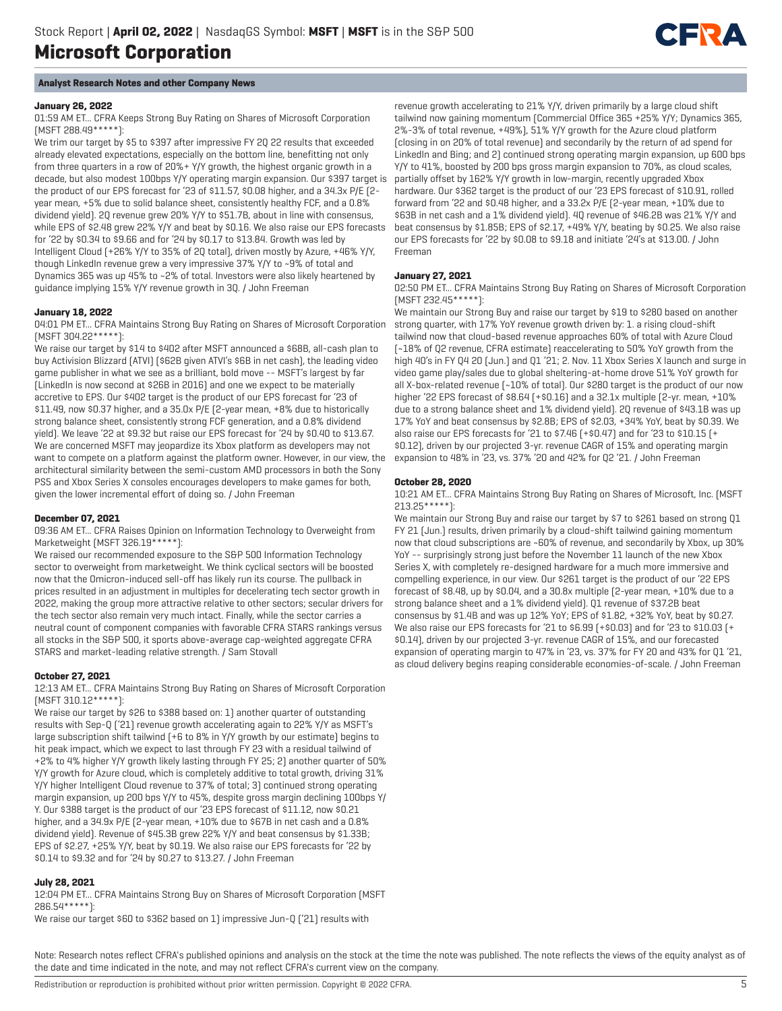

# **Analyst Research Notes and other Company News**

# **January 26, 2022**

01:59 AM ET... CFRA Keeps Strong Buy Rating on Shares of Microsoft Corporation (MSFT 288.49\*\*\*\*\*):

We trim our target by \$5 to \$397 after impressive FY 2Q 22 results that exceeded already elevated expectations, especially on the bottom line, benefitting not only from three quarters in a row of 20%+ Y/Y growth, the highest organic growth in a decade, but also modest 100bps Y/Y operating margin expansion. Our \$397 target is the product of our EPS forecast for '23 of \$11.57, \$0.08 higher, and a 34.3x P/E (2 year mean, +5% due to solid balance sheet, consistently healthy FCF, and a 0.8% dividend yield). 2Q revenue grew 20% Y/Y to \$51.7B, about in line with consensus, while EPS of \$2.48 grew 22% Y/Y and beat by \$0.16. We also raise our EPS forecasts for '22 by \$0.34 to \$9.66 and for '24 by \$0.17 to \$13.84. Growth was led by Intelligent Cloud (+26% Y/Y to 35% of 2Q total), driven mostly by Azure, +46% Y/Y, though LinkedIn revenue grew a very impressive 37% Y/Y to ~9% of total and Dynamics 365 was up 45% to ~2% of total. Investors were also likely heartened by guidance implying 15% Y/Y revenue growth in 3Q. / John Freeman

# **January 18, 2022**

04:01 PM ET... CFRA Maintains Strong Buy Rating on Shares of Microsoft Corporation (MSFT 304.22\*\*\*\*\*):

We raise our target by \$14 to \$402 after MSFT announced a \$68B, all-cash plan to buy Activision Blizzard (ATVI) (\$62B given ATVI's \$6B in net cash), the leading video game publisher in what we see as a brilliant, bold move -- MSFT's largest by far (LinkedIn is now second at \$26B in 2016) and one we expect to be materially accretive to EPS. Our \$402 target is the product of our EPS forecast for '23 of \$11.49, now \$0.37 higher, and a 35.0x P/E (2-year mean, +8% due to historically strong balance sheet, consistently strong FCF generation, and a 0.8% dividend yield). We leave '22 at \$9.32 but raise our EPS forecast for '24 by \$0.40 to \$13.67. We are concerned MSFT may jeopardize its Xbox platform as developers may not want to compete on a platform against the platform owner. However, in our view, the architectural similarity between the semi-custom AMD processors in both the Sony PS5 and Xbox Series X consoles encourages developers to make games for both, given the lower incremental effort of doing so. / John Freeman

# **December 07, 2021**

09:36 AM ET... CFRA Raises Opinion on Information Technology to Overweight from Marketweight (MSFT 326.19\*\*\*\*\*):

We raised our recommended exposure to the S&P 500 Information Technology sector to overweight from marketweight. We think cyclical sectors will be boosted now that the Omicron-induced sell-off has likely run its course. The pullback in prices resulted in an adjustment in multiples for decelerating tech sector growth in 2022, making the group more attractive relative to other sectors; secular drivers for the tech sector also remain very much intact. Finally, while the sector carries a neutral count of component companies with favorable CFRA STARS rankings versus all stocks in the S&P 500, it sports above-average cap-weighted aggregate CFRA STARS and market-leading relative strength. / Sam Stovall

### **October 27, 2021**

12:13 AM ET... CFRA Maintains Strong Buy Rating on Shares of Microsoft Corporation (MSFT 310.12\*\*\*\*\*):

We raise our target by \$26 to \$388 based on: 1) another quarter of outstanding results with Sep-Q ('21) revenue growth accelerating again to 22% Y/Y as MSFT's large subscription shift tailwind (+6 to 8% in Y/Y growth by our estimate) begins to hit peak impact, which we expect to last through FY 23 with a residual tailwind of +2% to 4% higher Y/Y growth likely lasting through FY 25; 2) another quarter of 50% Y/Y growth for Azure cloud, which is completely additive to total growth, driving 31% Y/Y higher Intelligent Cloud revenue to 37% of total; 3) continued strong operating margin expansion, up 200 bps Y/Y to 45%, despite gross margin declining 100bps Y/ Y. Our \$388 target is the product of our '23 EPS forecast of \$11.12, now \$0.21 higher, and a 34.9x P/E (2-year mean, +10% due to \$67B in net cash and a 0.8% dividend yield). Revenue of \$45.3B grew 22% Y/Y and beat consensus by \$1.33B; EPS of \$2.27, +25% Y/Y, beat by \$0.19. We also raise our EPS forecasts for '22 by \$0.14 to \$9.32 and for '24 by \$0.27 to \$13.27. / John Freeman

# **July 28, 2021**

12:04 PM ET... CFRA Maintains Strong Buy on Shares of Microsoft Corporation (MSFT 286.54\*\*\*\*\*):

We raise our target \$60 to \$362 based on 1) impressive Jun-Q ['21) results with

revenue growth accelerating to 21% Y/Y, driven primarily by a large cloud shift tailwind now gaining momentum (Commercial Office 365 +25% Y/Y; Dynamics 365, 2%-3% of total revenue, +49%), 51% Y/Y growth for the Azure cloud platform (closing in on 20% of total revenue) and secondarily by the return of ad spend for LinkedIn and Bing; and 2) continued strong operating margin expansion, up 600 bps Y/Y to 41%, boosted by 200 bps gross margin expansion to 70%, as cloud scales, partially offset by 162% Y/Y growth in low-margin, recently upgraded Xbox hardware. Our \$362 target is the product of our '23 EPS forecast of \$10.91, rolled forward from '22 and \$0.48 higher, and a 33.2x P/E (2-year mean, +10% due to \$63B in net cash and a 1% dividend yield). 4Q revenue of \$46.2B was 21% Y/Y and beat consensus by \$1.85B; EPS of \$2.17, +49% Y/Y, beating by \$0.25. We also raise our EPS forecasts for '22 by \$0.08 to \$9.18 and initiate '24's at \$13.00. / John Freeman

### **January 27, 2021**

02:50 PM ET... CFRA Maintains Strong Buy Rating on Shares of Microsoft Corporation (MSFT 232.45\*\*\*\*\*):

We maintain our Strong Buy and raise our target by \$19 to \$280 based on another strong quarter, with 17% YoY revenue growth driven by: 1. a rising cloud-shift tailwind now that cloud-based revenue approaches 60% of total with Azure Cloud (~18% of Q2 revenue, CFRA estimate) reaccelerating to 50% YoY growth from the high 40's in FY Q4 20 (Jun.) and Q1 '21; 2. Nov. 11 Xbox Series X launch and surge in video game play/sales due to global sheltering-at-home drove 51% YoY growth for all X-box-related revenue (~10% of total). Our \$280 target is the product of our now higher '22 EPS forecast of \$8.64 (+\$0.16) and a 32.1x multiple (2-yr. mean, +10% due to a strong balance sheet and 1% dividend yield). 2Q revenue of \$43.1B was up 17% YoY and beat consensus by \$2.8B; EPS of \$2.03, +34% YoY, beat by \$0.39. We also raise our EPS forecasts for '21 to \$7.46 (+\$0.47) and for '23 to \$10.15 (+ \$0.12), driven by our projected 3-yr. revenue CAGR of 15% and operating margin expansion to 48% in '23, vs. 37% '20 and 42% for Q2 '21. / John Freeman

# **October 28, 2020**

10:21 AM ET... CFRA Maintains Strong Buy Rating on Shares of Microsoft, Inc. (MSFT 213.25\*\*\*\*\*):

We maintain our Strong Buy and raise our target by \$7 to \$261 based on strong Q1 FY 21 (Jun.) results, driven primarily by a cloud-shift tailwind gaining momentum now that cloud subscriptions are ~60% of revenue, and secondarily by Xbox, up 30% YoY -- surprisingly strong just before the November 11 launch of the new Xbox Series X, with completely re-designed hardware for a much more immersive and compelling experience, in our view. Our \$261 target is the product of our '22 EPS forecast of \$8.48, up by \$0.04, and a 30.8x multiple (2-year mean, +10% due to a strong balance sheet and a 1% dividend yield). Q1 revenue of \$37.2B beat consensus by \$1.4B and was up 12% YoY; EPS of \$1.82, +32% YoY, beat by \$0.27. We also raise our EPS forecasts for '21 to \$6.99 (+\$0.03) and for '23 to \$10.03 (+ \$0.14), driven by our projected 3-yr. revenue CAGR of 15%, and our forecasted expansion of operating margin to 47% in '23, vs. 37% for FY 20 and 43% for Q1 '21, as cloud delivery begins reaping considerable economies-of-scale. / John Freeman

Note: Research notes reflect CFRA's published opinions and analysis on the stock at the time the note was published. The note reflects the views of the equity analyst as of the date and time indicated in the note, and may not reflect CFRA's current view on the company.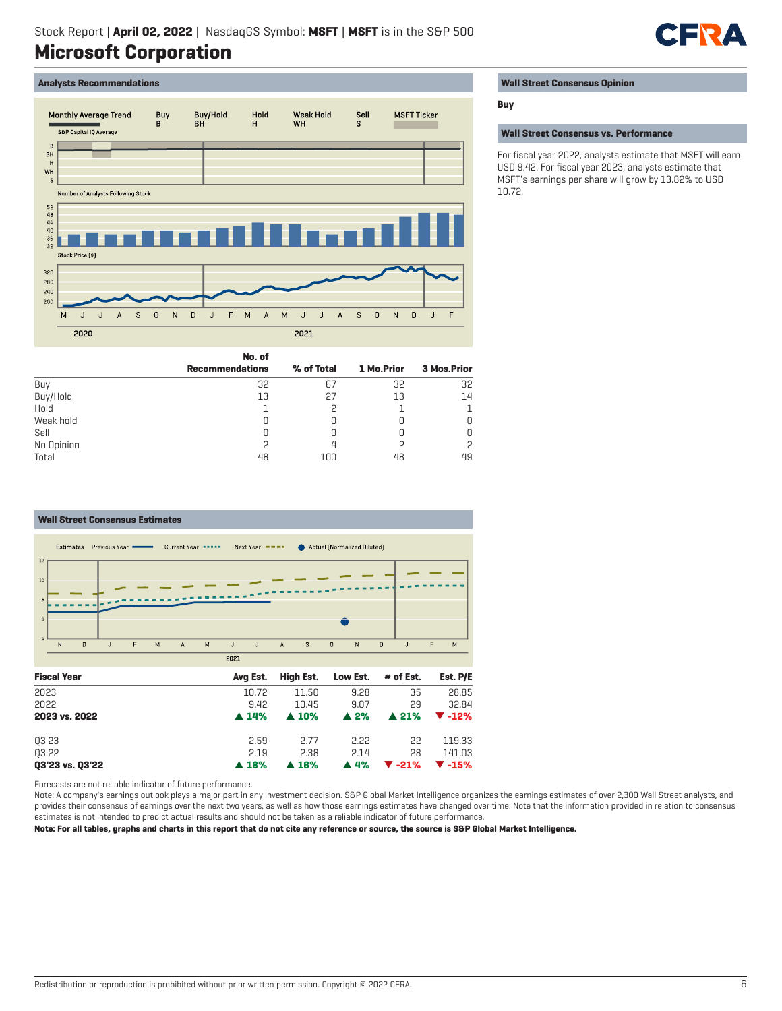

# **Analysts Recommendations**



# **Wall Street Consensus Opinion**

### **Buy**

**Wall Street Consensus vs. Performance**

For fiscal year 2022, analysts estimate that MSFT will earn USD 9.42. For fiscal year 2023, analysts estimate that MSFT's earnings per share will grow by 13.82% to USD 10.72.

|            | No. of                 |            |            |             |
|------------|------------------------|------------|------------|-------------|
|            | <b>Recommendations</b> | % of Total | 1 Mo.Prior | 3 Mos.Prior |
| Buy        | 32                     | 67         | 32         | 32          |
| Buy/Hold   | 13                     | 27         | 13         | 14          |
| Hold       |                        |            |            |             |
| Weak hold  |                        |            |            | 0           |
| Sell       |                        |            |            | 0           |
| No Opinion |                        |            |            | 2           |
| Total      | 48                     | 100        | 48         | 49          |

#### Estimates Previous Year Actual (Normalized Diluted) Current Year \*\*\*\*\* Next Year ===\*  $12$  $\mathbf{10}$  $\overline{N}$  $\overline{\mathbf{D}}$  $\overline{M}$  $\overline{A}$  $\overline{M}$  $\overline{A}$  $\overline{s}$  $\overline{0}$  $\overline{\mathsf{D}}$  $\overline{1}$ F J  $\mathsf{J}$  $\overline{N}$  $\overline{1}$  $2021$ **Fiscal Year Avg Est. High Est. Low Est. # of Est. Est. P/E** 2023 10.72 11.50 9.28 35 28.85 2022 9.42 10.45 9.07 29 32.84

| 2023 vs. 2022   |                      | $\triangle$ 14% $\triangle$ 10% $\triangle$ 2% $\triangle$ 21% $\triangledown$ -12% |      |                                                                         |        |
|-----------------|----------------------|-------------------------------------------------------------------------------------|------|-------------------------------------------------------------------------|--------|
| 03'23           | 2.59                 | - 2 7 7                                                                             | 2.22 | - 22                                                                    | 119.33 |
| 03'22           | 2 1 9                | 2.38                                                                                | 2.14 | 28                                                                      | 141.03 |
| 03'23 vs. 03'22 | $\blacktriangle$ 18% | $\triangle$ 16%                                                                     |      | $\blacktriangle$ 4% $\blacktriangledown$ -21% $\blacktriangledown$ -15% |        |

Forecasts are not reliable indicator of future performance.

**Wall Street Consensus Estimates**

Note: A company's earnings outlook plays a major part in any investment decision. S&P Global Market Intelligence organizes the earnings estimates of over 2,300 Wall Street analysts, and provides their consensus of earnings over the next two years, as well as how those earnings estimates have changed over time. Note that the information provided in relation to consensus estimates is not intended to predict actual results and should not be taken as a reliable indicator of future performance.

 $\overline{M}$ 

**Note: For all tables, graphs and charts in this report that do not cite any reference or source, the source is S&P Global Market Intelligence.**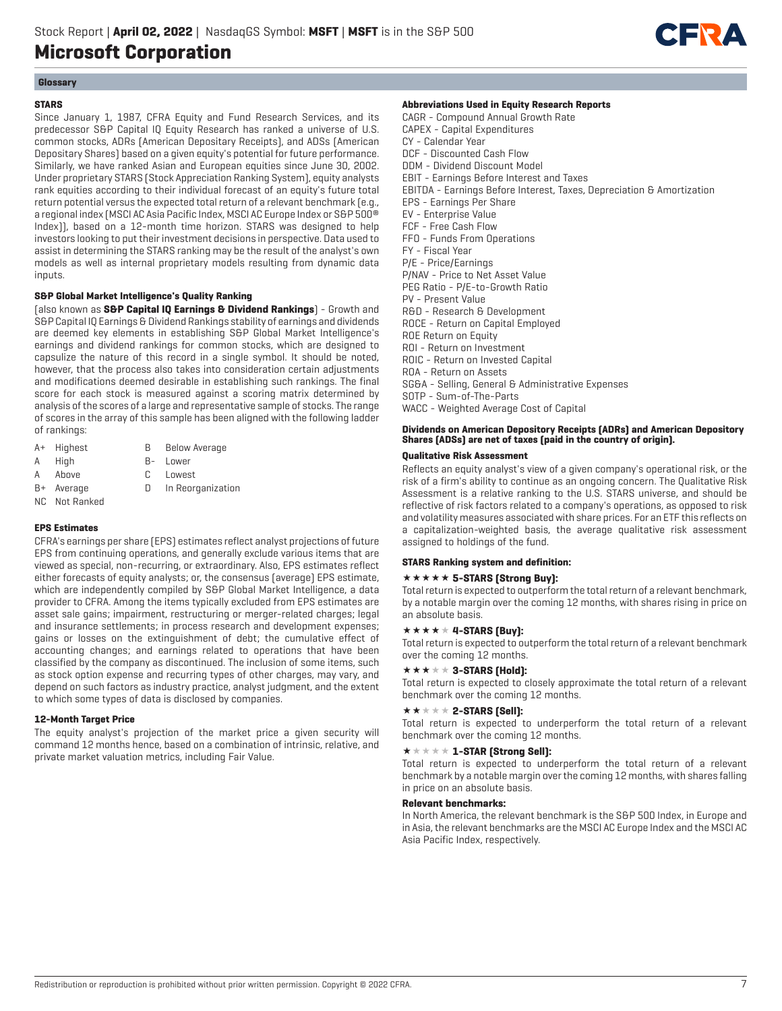

# **Glossary**

# **STARS**

Since January 1, 1987, CFRA Equity and Fund Research Services, and its predecessor S&P Capital IQ Equity Research has ranked a universe of U.S. common stocks, ADRs (American Depositary Receipts), and ADSs (American Depositary Shares) based on a given equity's potential for future performance. Similarly, we have ranked Asian and European equities since June 30, 2002. Under proprietary STARS (Stock Appreciation Ranking System), equity analysts rank equities according to their individual forecast of an equity's future total return potential versus the expected total return of a relevant benchmark (e.g., a regional index (MSCI AC Asia Pacific Index, MSCI AC Europe Index or S&P 500® Index)), based on a 12-month time horizon. STARS was designed to help investors looking to put their investment decisions in perspective. Data used to assist in determining the STARS ranking may be the result of the analyst's own models as well as internal proprietary models resulting from dynamic data inputs.

# **S&P Global Market Intelligence's Quality Ranking**

(also known as **S&P Capital IQ Earnings & Dividend Rankings**) - Growth and S&P Capital IQ Earnings & Dividend Rankings stability of earnings and dividends are deemed key elements in establishing S&P Global Market Intelligence's earnings and dividend rankings for common stocks, which are designed to capsulize the nature of this record in a single symbol. It should be noted, however, that the process also takes into consideration certain adjustments and modifications deemed desirable in establishing such rankings. The final score for each stock is measured against a scoring matrix determined by analysis of the scores of a large and representative sample of stocks. The range of scores in the array of this sample has been aligned with the following ladder of rankings:

- A+ Highest B Below Average
- A High B- Lower
- -
- A Above C Lowest
- B+ Average D In Reorganization
- NC Not Ranked

# **EPS Estimates**

CFRA's earnings per share (EPS) estimates reflect analyst projections of future EPS from continuing operations, and generally exclude various items that are viewed as special, non-recurring, or extraordinary. Also, EPS estimates reflect either forecasts of equity analysts; or, the consensus (average) EPS estimate, which are independently compiled by S&P Global Market Intelligence, a data provider to CFRA. Among the items typically excluded from EPS estimates are asset sale gains; impairment, restructuring or merger-related charges; legal and insurance settlements; in process research and development expenses; gains or losses on the extinguishment of debt; the cumulative effect of accounting changes; and earnings related to operations that have been classified by the company as discontinued. The inclusion of some items, such as stock option expense and recurring types of other charges, may vary, and depend on such factors as industry practice, analyst judgment, and the extent to which some types of data is disclosed by companies.

# **12-Month Target Price**

The equity analyst's projection of the market price a given security will command 12 months hence, based on a combination of intrinsic, relative, and private market valuation metrics, including Fair Value.

### **Abbreviations Used in Equity Research Reports**

CAGR - Compound Annual Growth Rate CAPEX - Capital Expenditures CY - Calendar Year DCF - Discounted Cash Flow DDM - Dividend Discount Model EBIT - Earnings Before Interest and Taxes EBITDA - Earnings Before Interest, Taxes, Depreciation & Amortization EPS - Earnings Per Share EV - Enterprise Value FCF - Free Cash Flow FFO - Funds From Operations FY - Fiscal Year P/E - Price/Earnings P/NAV - Price to Net Asset Value PEG Ratio - P/E-to-Growth Ratio PV - Present Value R&D - Research & Development ROCE - Return on Capital Employed ROE Return on Equity ROI - Return on Investment ROIC - Return on Invested Capital ROA - Return on Assets SG&A - Selling, General & Administrative Expenses SOTP - Sum-of-The-Parts WACC - Weighted Average Cost of Capital

# **Dividends on American Depository Receipts (ADRs) and American Depository Shares (ADSs) are net of taxes (paid in the country of origin).**

# **Qualitative Risk Assessment**

Reflects an equity analyst's view of a given company's operational risk, or the risk of a firm's ability to continue as an ongoing concern. The Qualitative Risk Assessment is a relative ranking to the U.S. STARS universe, and should be reflective of risk factors related to a company's operations, as opposed to risk and volatility measures associated with share prices. For an ETF this reflects on a capitalization-weighted basis, the average qualitative risk assessment assigned to holdings of the fund.

# **STARS Ranking system and definition:**

### **\*\*\*\*\* 5-STARS (Strong Buy):**

Total return is expected to outperform the total return of a relevant benchmark, by a notable margin over the coming 12 months, with shares rising in price on an absolute basis.

# $\star \star \star \star \star 4$ -STARS [Buy]:

Total return is expected to outperform the total return of a relevant benchmark over the coming 12 months.

# $\star \star \star \star \star 3$ -STARS (Hold):

Total return is expected to closely approximate the total return of a relevant benchmark over the coming 12 months.

# $\star\star\star\star\star$  2-STARS [Sell]:

Total return is expected to underperform the total return of a relevant benchmark over the coming 12 months.

### $\star \star \star \star \star \mathbf{1}$ -STAR (Strong Sell):

Total return is expected to underperform the total return of a relevant benchmark by a notable margin over the coming 12 months, with shares falling in price on an absolute basis.

# **Relevant benchmarks:**

In North America, the relevant benchmark is the S&P 500 Index, in Europe and in Asia, the relevant benchmarks are the MSCI AC Europe Index and the MSCI AC Asia Pacific Index, respectively.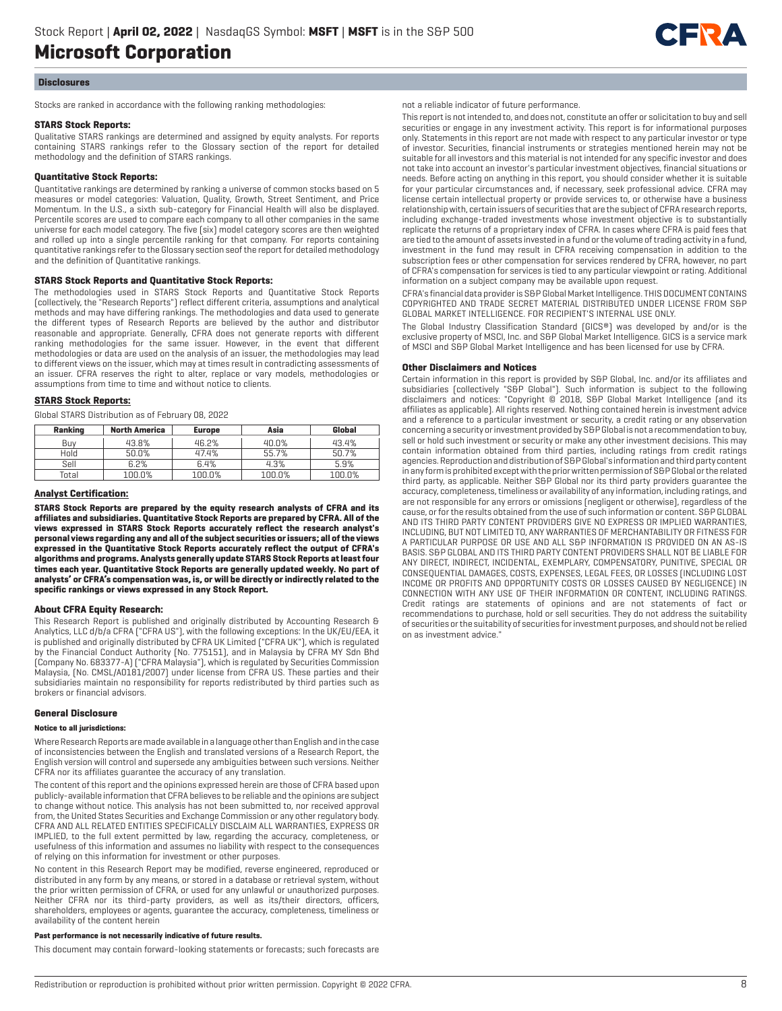

### **Disclosures**

Stocks are ranked in accordance with the following ranking methodologies:

### **STARS Stock Reports:**

Qualitative STARS rankings are determined and assigned by equity analysts. For reports containing STARS rankings refer to the Glossary section of the report for detailed methodology and the definition of STARS rankings.

### **Quantitative Stock Reports:**

Quantitative rankings are determined by ranking a universe of common stocks based on 5 measures or model categories: Valuation, Quality, Growth, Street Sentiment, and Price Momentum. In the U.S., a sixth sub-category for Financial Health will also be displayed. Percentile scores are used to compare each company to all other companies in the same universe for each model category. The five (six) model category scores are then weighted and rolled up into a single percentile ranking for that company. For reports containing quantitative rankings refer to the Glossary section seof the report for detailed methodology and the definition of Quantitative rankings.

### **STARS Stock Reports and Quantitative Stock Reports:**

The methodologies used in STARS Stock Reports and Quantitative Stock Reports (collectively, the "Research Reports") reflect different criteria, assumptions and analytical methods and may have differing rankings. The methodologies and data used to generate the different types of Research Reports are believed by the author and distributor reasonable and appropriate. Generally, CFRA does not generate reports with different ranking methodologies for the same issuer. However, in the event that different methodologies or data are used on the analysis of an issuer, the methodologies may lead to different views on the issuer, which may at times result in contradicting assessments of an issuer. CFRA reserves the right to alter, replace or vary models, methodologies or assumptions from time to time and without notice to clients.

### **STARS Stock Reports:**

Global STARS Distribution as of February 08, 2022

| Ranking | <b>North America</b> | <b>Europe</b> | Asia   | Global |  |
|---------|----------------------|---------------|--------|--------|--|
| Buv     | 43.8%                | 46.2%         | 40.0%  | 43.4%  |  |
| Hold    | 50.0%                | 47.4%         | 55.7%  | 50.7%  |  |
| Sell    | 6.2%                 | 6.4%          | 4.3%   | 5.9%   |  |
| Total   | 100.0%               | 100.0%        | 100.0% | 100.0% |  |

### **Analyst Certification:**

**STARS Stock Reports are prepared by the equity research analysts of CFRA and its affiliates and subsidiaries. Quantitative Stock Reports are prepared by CFRA. All of the views expressed in STARS Stock Reports accurately reflect the research analyst's personal views regarding any and all of the subject securities or issuers; all of the views expressed in the Quantitative Stock Reports accurately reflect the output of CFRA's algorithms and programs. Analysts generally update STARS Stock Reports at least four times each year. Quantitative Stock Reports are generally updated weekly. No part of analysts' or CFRA's compensation was, is, or will be directly or indirectly related to the specific rankings or views expressed in any Stock Report.**

### **About CFRA Equity Research:**

This Research Report is published and originally distributed by Accounting Research & Analytics, LLC d/b/a CFRA ("CFRA US"), with the following exceptions: In the UK/EU/EEA, it is published and originally distributed by CFRA UK Limited ("CFRA UK"), which is regulated by the Financial Conduct Authority (No. 775151), and in Malaysia by CFRA MY Sdn Bhd (Company No. 683377-A) ("CFRA Malaysia"), which is regulated by Securities Commission Malaysia, (No. CMSL/A0181/2007) under license from CFRA US. These parties and their subsidiaries maintain no responsibility for reports redistributed by third parties such as brokers or financial advisors.

### **General Disclosure**

### **Notice to all jurisdictions:**

Where Research Reports are made available in a language other than English and in the case of inconsistencies between the English and translated versions of a Research Report, the English version will control and supersede any ambiguities between such versions. Neither CFRA nor its affiliates guarantee the accuracy of any translation.

The content of this report and the opinions expressed herein are those of CFRA based upon publicly-available information that CFRA believes to be reliable and the opinions are subject to change without notice. This analysis has not been submitted to, nor received approval from, the United States Securities and Exchange Commission or any other regulatory body. CFRA AND ALL RELATED ENTITIES SPECIFICALLY DISCLAIM ALL WARRANTIES, EXPRESS OR IMPLIED, to the full extent permitted by law, regarding the accuracy, completeness, or usefulness of this information and assumes no liability with respect to the consequences of relying on this information for investment or other purposes.

No content in this Research Report may be modified, reverse engineered, reproduced or distributed in any form by any means, or stored in a database or retrieval system, without the prior written permission of CFRA, or used for any unlawful or unauthorized purposes. Neither CFRA nor its third-party providers, as well as its/their directors, officers, shareholders, employees or agents, guarantee the accuracy, completeness, timeliness or availability of the content herein

### **Past performance is not necessarily indicative of future results.**

This document may contain forward-looking statements or forecasts; such forecasts are

not a reliable indicator of future performance.

This report is not intended to, and does not, constitute an offer or solicitation to buy and sell securities or engage in any investment activity. This report is for informational purposes only. Statements in this report are not made with respect to any particular investor or type of investor. Securities, financial instruments or strategies mentioned herein may not be suitable for all investors and this material is not intended for any specific investor and does not take into account an investor's particular investment objectives, financial situations or needs. Before acting on anything in this report, you should consider whether it is suitable for your particular circumstances and, if necessary, seek professional advice. CFRA may license certain intellectual property or provide services to, or otherwise have a business relationship with, certain issuers of securities that are the subject of CFRA research reports, including exchange-traded investments whose investment objective is to substantially replicate the returns of a proprietary index of CFRA. In cases where CFRA is paid fees that are tied to the amount of assets invested in a fund or the volume of trading activity in a fund, investment in the fund may result in CFRA receiving compensation in addition to the subscription fees or other compensation for services rendered by CFRA, however, no part of CFRA's compensation for services is tied to any particular viewpoint or rating. Additional information on a subject company may be available upon request.

CFRA's financial data provider is S&P Global Market Intelligence. THIS DOCUMENT CONTAINS COPYRIGHTED AND TRADE SECRET MATERIAL DISTRIBUTED UNDER LICENSE FROM S&P GLOBAL MARKET INTELLIGENCE. FOR RECIPIENT'S INTERNAL USE ONLY.

The Global Industry Classification Standard (GICS®) was developed by and/or is the exclusive property of MSCI, Inc. and S&P Global Market Intelligence. GICS is a service mark of MSCI and S&P Global Market Intelligence and has been licensed for use by CFRA.

### **Other Disclaimers and Notices**

Certain information in this report is provided by S&P Global, Inc. and/or its affiliates and subsidiaries (collectively "S&P Global"). Such information is subject to the following disclaimers and notices: "Copyright © 2018, S&P Global Market Intelligence (and its affiliates as applicable). All rights reserved. Nothing contained herein is investment advice and a reference to a particular investment or security, a credit rating or any observation concerning a security or investment provided by S&P Global is not a recommendation to buy, sell or hold such investment or security or make any other investment decisions. This may contain information obtained from third parties, including ratings from credit ratings agencies. Reproduction and distribution of S&P Global's information and third party content in any form is prohibited except with the prior written permission of S&P Global or the related third party, as applicable. Neither S&P Global nor its third party providers guarantee the accuracy, completeness, timeliness or availability of any information, including ratings, and are not responsible for any errors or omissions (negligent or otherwise), regardless of the cause, or for the results obtained from the use of such information or content. S&P GLOBAL AND ITS THIRD PARTY CONTENT PROVIDERS GIVE NO EXPRESS OR IMPLIED WARRANTIES, INCLUDING, BUT NOT LIMITED TO, ANY WARRANTIES OF MERCHANTABILITY OR FITNESS FOR A PARTICULAR PURPOSE OR USE AND ALL S&P INFORMATION IS PROVIDED ON AN AS-IS BASIS. S&P GLOBAL AND ITS THIRD PARTY CONTENT PROVIDERS SHALL NOT BE LIABLE FOR ANY DIRECT, INDIRECT, INCIDENTAL, EXEMPLARY, COMPENSATORY, PUNITIVE, SPECIAL OR CONSEQUENTIAL DAMAGES, COSTS, EXPENSES, LEGAL FEES, OR LOSSES (INCLUDING LOST INCOME OR PROFITS AND OPPORTUNITY COSTS OR LOSSES CAUSED BY NEGLIGENCE) IN CONNECTION WITH ANY USE OF THEIR INFORMATION OR CONTENT, INCLUDING RATINGS. Credit ratings are statements of opinions and are not statements of fact or recommendations to purchase, hold or sell securities. They do not address the suitability of securities or the suitability of securities for investment purposes, and should not be relied on as investment advice."